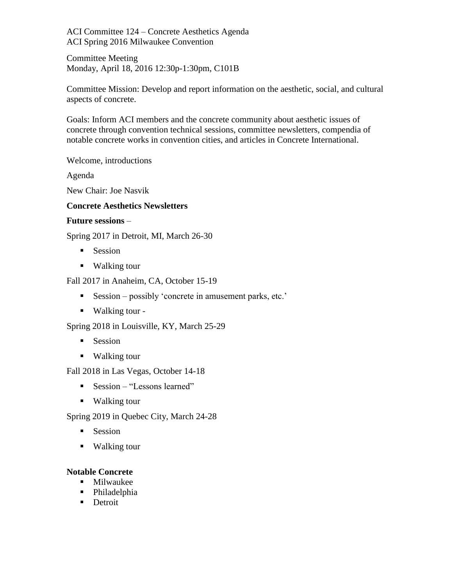ACI Committee 124 – Concrete Aesthetics Agenda ACI Spring 2016 Milwaukee Convention

Committee Meeting Monday, April 18, 2016 12:30p-1:30pm, C101B

Committee Mission: Develop and report information on the aesthetic, social, and cultural aspects of concrete.

Goals: Inform ACI members and the concrete community about aesthetic issues of concrete through convention technical sessions, committee newsletters, compendia of notable concrete works in convention cities, and articles in Concrete International.

Welcome, introductions

Agenda

New Chair: Joe Nasvik

# **Concrete Aesthetics Newsletters**

#### **Future sessions** –

Spring 2017 in Detroit, MI, March 26-30

- **Session**
- Walking tour

Fall 2017 in Anaheim, CA, October 15-19

- Session possibly 'concrete in amusement parks, etc.'
- Walking tour -

Spring 2018 in Louisville, KY, March 25-29

- **Session**
- Walking tour

Fall 2018 in Las Vegas, October 14-18

- Session "Lessons learned"
- Walking tour

Spring 2019 in Quebec City, March 24-28

- **Session**
- Walking tour

# **Notable Concrete**

- **Milwaukee**
- Philadelphia
- **Detroit**